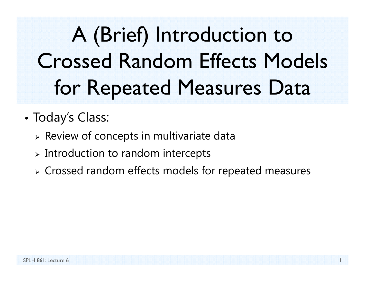# A (Brief) Introduction to Crossed Random Effects Models for Repeated Measures Data

- • Today's Class:
	- $\triangleright$  Review of concepts in multivariate data
	- $\triangleright$  Introduction to random intercepts
	- Crossed random effects models for repeated measures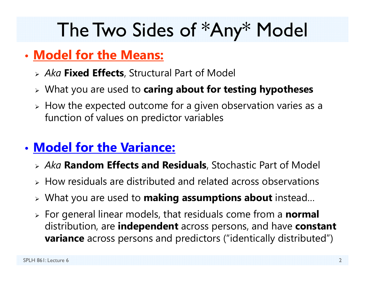# The Two Sides of \*Any\* Model

#### • **Model for the Means:**

- *Aka* **Fixed Effects**, Structural Part of Model
- What you are used to **caring about for testing hypotheses**
- $\triangleright$  How the expected outcome for a given observation varies as a function of values on predictor variables

#### • **Model for the Variance:**

- *Aka* **Random Effects and Residuals**, Stochastic Part of Model
- $\triangleright$  How residuals are distributed and related across observations
- What you are used to **making assumptions about** instead…
- For general linear models, that residuals come from a **normal** distribution, are **independent** across persons, and have **constant variance** across persons and predictors ("identically distributed")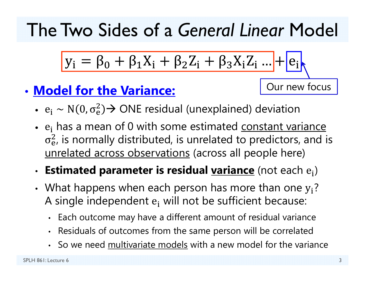The Two Sides of a *General Linear* Model

$$
y_i = \beta_0 + \beta_1 X_i + \beta_2 Z_i + \beta_3 X_i Z_i \dots + e_i
$$

#### • **Model for the Variance:**

Our new focus

- $e_i \sim N(0, \sigma_e^2)$  $_{\rm e}^{2})$  $\rightarrow$  ONE residual (unexplained) deviation
- $e_i$  has a mean of 0 with some estimated constant variance  $\sigma_{\rm e}$  $_{\rm e}^2$ , is normally distributed, is unrelated to predictors, and is unrelated across observations (across all people here)

#### •**· Estimated parameter is residual <u>variance</u> (not each e<sub>i</sub>)**

- •• What happens when each person has more than one  $y_i$ ? A single independent  $\mathbf{e_i}$  will not be sufficient because:
	- •Each outcome may have a different amount of residual variance
	- •Residuals of outcomes from the same person will be correlated
	- •So we need multivariate models with a new model for the variance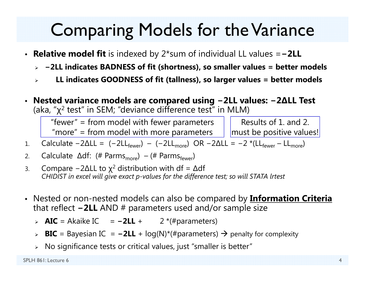### Comparing Models for the Variance

- **Relative model fit** is indexed by 2\*sum of individual LL values = **−2LL**
	- **<sup>−</sup>2LL indicates BADNESS of fit (shortness), so smaller values = better models**
	- $\blacktriangleright$ **LL indicates GOODNESS of fit (tallness), so larger values = better models**
- **Nested variance models are compared using <sup>−</sup>2LL values: − 2 ∆LL Test**  (aka, " $\chi^2$  test" in SEM; "deviance difference test" in MLM)

Results of 1. and 2. must be positive values! "fewer" = from model with fewer parameters "more" = from model with more parameters

- 1.. Calculate −2ΔLL = (−2LL<sub>fewer</sub>) − (−2LL<sub>more</sub>) OR −2ΔLL = −2 \*(LL<sub>fewer</sub> − LL<sub>more</sub>)
- 2.. Calculate Δdf: (# Parms<sub>more</sub>) – (# Parms<sub>fewer</sub>)
- 3.. Compare −2ΔLL to  $\chi^2$  distribution with df = Δdf *CHIDIST in excel will give exact p-values for the difference test; so will STATA lrtest*
- Nested or non-nested models can also be compared by **Information Criteria** that reflect **−2LL** AND # parameters used and/or sample size
	- **→ AIC** = Akaike IC = -2LL  $2 *$  (#parameters)
	- > BIC = Bayesian IC = -2LL + log(N)\*(#parameters) → penalty for complexity
	- $\triangleright$   $\,$  No significance tests or critical values, just "smaller is better"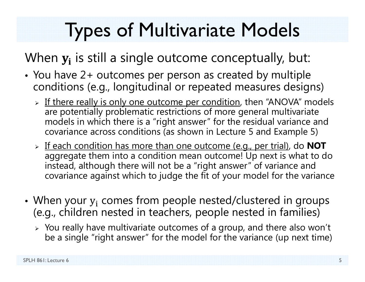# Types of Multivariate Models

When  $\mathbf{y_{i}}$  is still a single outcome conceptually, but:

- You have 2+ outcomes per person as created by multiple conditions (e.g., longitudinal or repeated measures designs)
	- > If there really is only one outcome per condition, then "ANOVA" models are potentially problematic restrictions of more general multivariate models in which there is a "right answer" for the residual variance and covariance across conditions (as shown in Lecture 5 and Example 5)
	- If each condition has more than one outcome (e.g., per trial), do **NOT** aggregate them into a condition mean outcome! Up next is what to do instead, although there will not be a "right answer" of variance and covariance against which to judge the fit of your model for the variance
- When your  $\mathsf{y}_{\mathsf{i}}$  comes from people nested/clustered in groups  $\;$ (e.g., children nested in teachers, people nested in families)
	- $\triangleright$  You really have multivariate outcomes of a group, and there also won't be a single "right answer" for the model for the variance (up next time)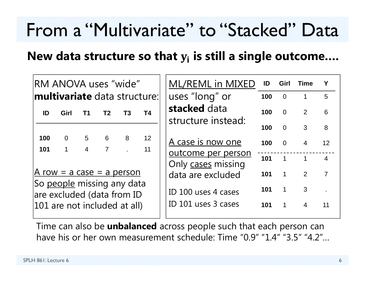### From a "Multivariate" to "Stacked" Data

#### **New data structure so that**  ܑ **is still a single outcome….**

| RM ANOVA uses "wide"                                                                     |                                          |                                  |                     |                    |                       | <b>ML/REML in MIXED</b>                    | ID             | Girl           | <b>Time</b>         |                |
|------------------------------------------------------------------------------------------|------------------------------------------|----------------------------------|---------------------|--------------------|-----------------------|--------------------------------------------|----------------|----------------|---------------------|----------------|
| l <b>multivariate</b> data structure:                                                    |                                          |                                  |                     |                    |                       | uses "long" or                             | 100            | $\overline{0}$ | $\mathbf{1}$        | 5              |
| ID<br><b>T4</b><br>Girl<br>T <sub>2</sub><br>T3<br>T1                                    |                                          |                                  |                     |                    |                       | stacked data<br>structure instead:         | 100            | $\overline{0}$ | 2                   | 6              |
|                                                                                          |                                          |                                  |                     |                    |                       |                                            | 100            | $\Omega$       | 3                   | 8              |
| 100<br>101                                                                               | $\overline{0}$<br>$\mathbf 1$            | 5 <sup>5</sup><br>$\overline{4}$ | 6<br>$\overline{7}$ | 8<br>and the state | 12 <sup>°</sup><br>11 | A case is now one                          | 100            | $\Omega$       | $\overline{4}$      | 12             |
|                                                                                          | outcome per person<br>Only cases missing |                                  |                     |                    |                       | 101                                        | $\overline{1}$ | $\overline{1}$ | $\overline{4}$      |                |
| A row = a case = a person                                                                |                                          |                                  |                     |                    |                       | data are excluded                          | 101            | $\mathbf 1$    | 2                   | $\overline{7}$ |
| So people missing any data<br>are excluded (data from ID<br>101 are not included at all) |                                          |                                  |                     |                    |                       | ID 100 uses 4 cases<br>ID 101 uses 3 cases | 101<br>101     | $\mathbf{1}$   | 3<br>$\overline{4}$ | 11             |
|                                                                                          |                                          |                                  |                     |                    |                       |                                            |                |                |                     |                |

Time can also be **unbalanced** across people such that each person can have his or her own measurement schedule: Time "0.9" "1.4" "3.5" "4.2"…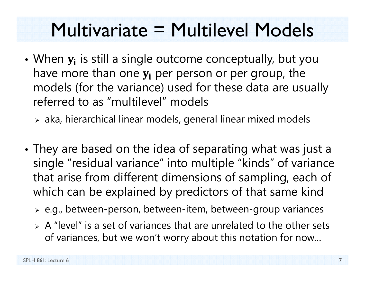# Multivariate = Multilevel Models

 $\bullet\,$  When  $\mathbf{y_{i}}$  is still a single outcome conceptually, but you  $\,$ have more than one  $\mathbf{y_{i}}$  per person or per group, the models (for the variance) used for these data are usually referred to as "multilevel" models

 $\triangleright$  aka, hierarchical linear models, general linear mixed models

- • They are based on the idea of separating what was just a single "residual variance" into multiple "kinds" of variance that arise from different dimensions of sampling, each of which can be explained by predictors of that same kind
	- $\triangleright$  e.g., between-person, between-item, between-group variances
	- $\triangleright$  A "level" is a set of variances that are unrelated to the other sets of variances, but we won't worry about this notation for now…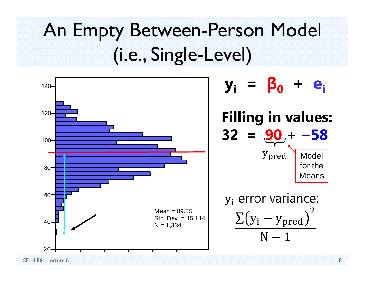# An Empty Between-Person Model (i.e., Single-Level)

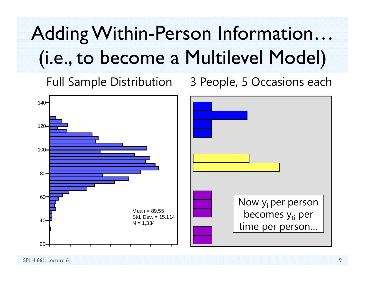# Adding Within-Person Information… (i.e., to become a Multilevel Model)

Full Sample Distribution 3 People, 5 Occasions each



SPLH 861: Lecture 6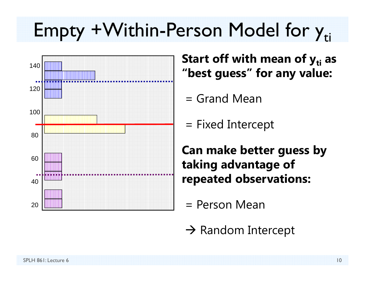# Empty  $+W$ ithin-Person Model for  $y_{ti}$



#### Start off with mean of y<sub>ti</sub> as **"best guess" for any value:**

- = Grand Mean
- = Fixed Intercept

**Can make better guess by taking advantage of repeated observations:**

- = Person Mean
- $\rightarrow$  Random Intercept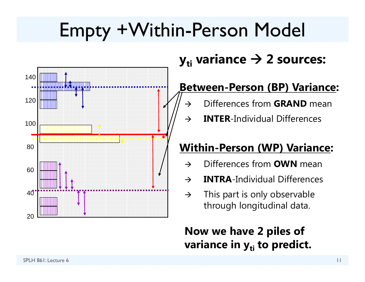# Empty +Within-Person Model



#### $\mathbf{y}_{\mathsf{ti}}$  variance  $\boldsymbol{\rightarrow}$  2 sources:

#### **Between-Person (BP) Variance:**

- $\rightarrow$ Differences from **GRAND** mean
- $\rightarrow$ **INTER**-Individual Differences

#### **Within-Person (WP) Variance:**

- $\rightarrow$ Differences from **OWN** mean
- $\rightarrow$ **INTRA**-Individual Differences
- $\rightarrow$  This part is only observable through longitudinal data.

#### **Now we have 2 piles of**  variance in y<sub>ti</sub> to predict.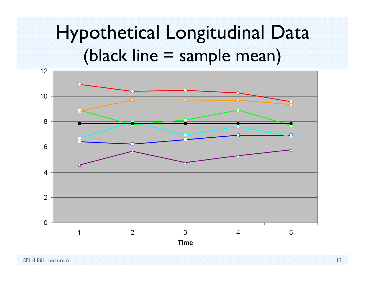### Hypothetical Longitudinal Data (black line = sample mean)



SPLH 861: Lecture 6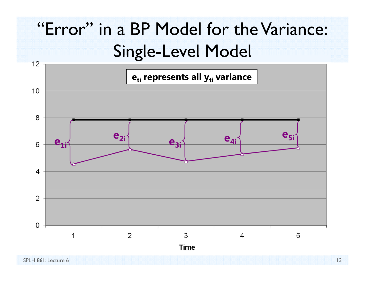### "Error" in a BP Model for the Variance: Single-Level Model

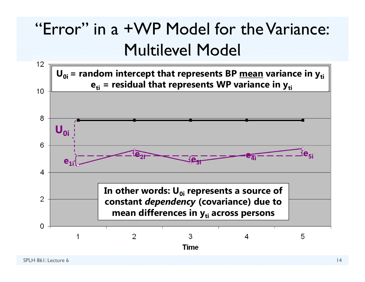#### "Error" in a +WP Model for the Variance: Multilevel Model

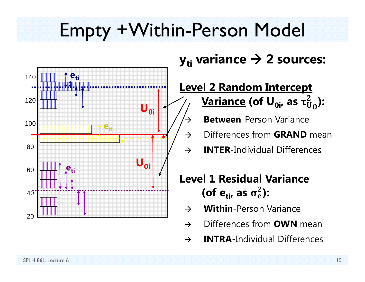# Empty +Within-Person Model

 $\rightarrow$ 



#### $\mathbf{y}_{\mathsf{ti}}$  variance  $\boldsymbol{\rightarrow}$  2 sources:

#### **Level 2 Random Intercept <u>Variance</u> (of U<sub>0i</sub>, as τ** $_0^2$ **):**

- **Between**-Person Variance
- $\rightarrow$ Differences from **GRAND** mean
- $\rightarrow$ **INTER**-Individual Differences

#### **Level 1 Residual Variance** (of e<sub>ti</sub>, as  $\sigma_{\rm e}^2$ ):

- $\rightarrow$ **Within**-Person Variance
- $\rightarrow$ Differences from **OWN** mean
- $\rightarrow$ **INTRA**-Individual Differences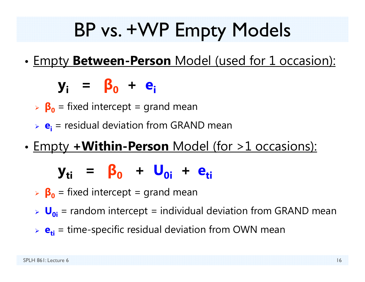# BP vs. +WP Empty Models

•Empty **Between-Person** Model (used for 1 occasion):

**yi <sup>=</sup> β 0 <sup>+</sup> ei**

- **β 0** = fixed intercept = grand mean
- **e**<sub>i</sub> = residual deviation from GRAND mean
- •Empty **+Within-Person** Model (for >1 occasions):

#### **y**<sub>ti</sub> = β<sub>0</sub> + U<sub>0i</sub> + e<sub>ti</sub>

- **β 0** = fixed intercept = grand mean
- **U**<sub>oi</sub> = random intercept = individual deviation from GRAND mean
- **e**<sub>ti</sub> = time-specific residual deviation from OWN mean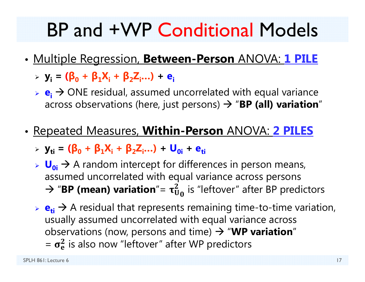# BP and +WP Conditional Models

- • Multiple Regression, **Between-Person** ANOVA: **1 PILE**
	- **yi = (β<sup>0</sup> <sup>+</sup>β1Xi <sup>+</sup>β2Zi…) + ei**
	- **► e<sub>i</sub>** → ONE residual, assumed uncorrelated with equal variance across observations (here, just persons)  $\rightarrow$  "BP (all) variation"
- • Repeated Measures, **Within-Person** ANOVA: **2 PILES**
	- **yti = (β<sup>0</sup> <sup>+</sup>β1Xi <sup>+</sup>β2Zi…) + U0i + eti**
	- **► U<sub>0i</sub>** → A random intercept for differences in person means, assumed uncorrelated with equal variance across persons  $\rightarrow$  "**BP (mean) variation**"=  $\tau_{U_0}^2$  is "leftover" after BP predictors
	- $\triangleright$   $\mathbf{e}_{\mathbf{t}} \rightarrow$  A residual that represents remaining time-to-time variation, usually assumed uncorrelated with equal variance across observations (now, persons and time)  $\rightarrow$  "WP variation"  $=$   $\sigma_e^2$  is also now "leftover" after WP predictors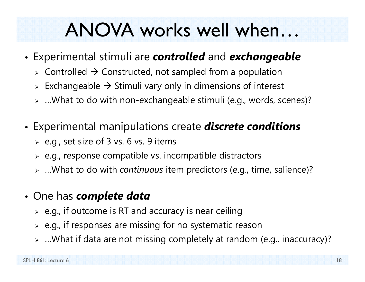# ANOVA works well when…

- Experimental stimuli are *controlled* and *exchangeable*
	- $\triangleright$  Controlled  $\rightarrow$  Constructed, not sampled from a population
	- $\triangleright$  Exchangeable  $\rightarrow$  Stimuli vary only in dimensions of interest
	- …What to do with non-exchangeable stimuli (e.g., words, scenes)?
- Experimental manipulations create *discrete conditions*
	- $\triangleright$  e.g., set size of 3 vs. 6 vs. 9 items
	- $\triangleright$  e.g., response compatible vs. incompatible distractors
	- …What to do with *continuous* item predictors (e.g., time, salience)?
- One has *complete data*
	- $\triangleright$   $\,$  e.g., if outcome is RT and accuracy is near ceiling
	- $\triangleright$  e.g., if responses are missing for no systematic reason
	- …What if data are not missing completely at random (e.g., inaccuracy)?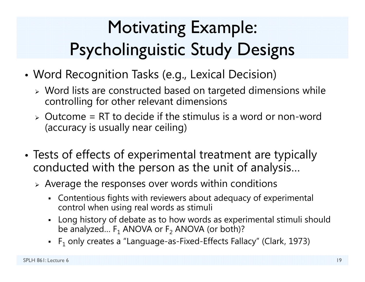# Motivating Example: Psycholinguistic Study Designs

- • Word Recognition Tasks (e.g., Lexical Decision)
	- Word lists are constructed based on targeted dimensions while controlling for other relevant dimensions
	- $\ge$  Outcome = RT to decide if the stimulus is a word or non-word (accuracy is usually near ceiling)
- • Tests of effects of experimental treatment are typically conducted with the person as the unit of analysis…
	- $\triangleright$  Average the responses over words within conditions
		- Contentious fights with reviewers about adequacy of experimental control when using real words as stimuli
		- Long history of debate as to how words as experimental stimuli should be analyzed…  $\mathsf F_1$  ANOVA or  $\mathsf F_2$  ANOVA (or both)?
		- $\,$  F $_1$  only creates a "Language-as-Fixed-Effects Fallacy" (Clark, 1973)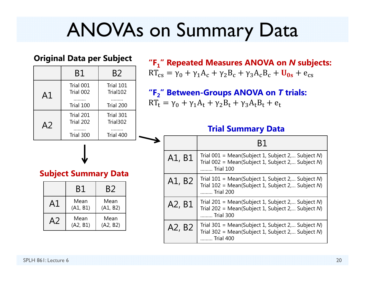# ANOVAs on Summary Data

#### **Original Data per Subject**

|  |                             | Β1                     | B2                    |  |  |  |  |  |  |  |
|--|-----------------------------|------------------------|-----------------------|--|--|--|--|--|--|--|
|  | A1                          | Trial 001<br>Trial 002 | Trial 101<br>Trial102 |  |  |  |  |  |  |  |
|  |                             | Trial 100              | Trial 200             |  |  |  |  |  |  |  |
|  | A <sub>2</sub>              | Trial 201<br>Trial 202 | Trial 301<br>Trial302 |  |  |  |  |  |  |  |
|  |                             | Trial 300              | Trial 400             |  |  |  |  |  |  |  |
|  |                             |                        |                       |  |  |  |  |  |  |  |
|  | <b>Subject Summary Data</b> |                        |                       |  |  |  |  |  |  |  |
|  |                             |                        |                       |  |  |  |  |  |  |  |

|    | B.               |                  |
|----|------------------|------------------|
| A1 | Mean<br>(A1, B1) | Mean<br>(A1, B2) |
| A  | Mean<br>(A2, B1) | Mean<br>(A2, B2) |

**"F <sup>1</sup>" Repeated Measures ANOVA on**  *N* **subjects:**  $RT_{cs} = \gamma_0 + \gamma_1 A_c + \gamma_2 B_c + \gamma_3 A_c B_c + \mathbf{U_{0s}} + \mathbf{e_{cs}}$ 

**"F <sup>2</sup>" Between-Groups ANOVA on**  *T* **trials:**  $RT_{t} = \gamma_{0} + \gamma_{1}A_{t} + \gamma_{2}B_{t} + \gamma_{3}A_{t}B_{t} + e_{t}$ 

#### **Trial Summary Data**

|        | B1                                                                                                                      |
|--------|-------------------------------------------------------------------------------------------------------------------------|
| A1, B1 | Trial $001$ = Mean(Subject 1, Subject 2, Subject N)<br>Trial $002$ = Mean(Subject 1, Subject 2, Subject N)<br>Trial 100 |
| A1, B2 | Trial $101$ = Mean(Subject 1, Subject 2, Subject N)<br>Trial $102$ = Mean(Subject 1, Subject 2, Subject N)<br>Trial 200 |
| A2, B1 | Trial 201 = Mean(Subject 1, Subject 2, Subject N)<br>Trial 202 = Mean(Subject 1, Subject 2, Subject N)<br>Trial 300     |
| A2, B2 | Trial 301 = Mean(Subject 1, Subject 2, Subject N)<br>Trial 302 = Mean(Subject 1, Subject 2, Subject $N$ )<br>Trial 400  |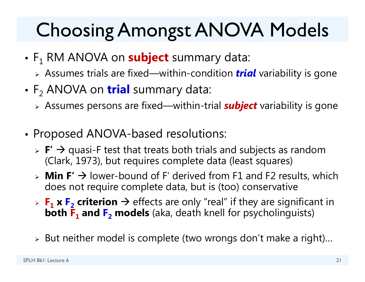# Choosing Amongst ANOVA Models

- F 1 RM ANOVA on **subject** summary data:
	- Assumes trials are fixed—within-condition *trial* variability is gone
- F 2 ANOVA on **trial** summary data:
	- Assumes persons are fixed—within-trial *subject* variability is gone
- • Proposed ANOVA-based resolutions:
	- **► F' → quasi-F test that treats both trials and subjects as random** (Clark, 1973), but requires complete data (least squares)
	- **Min F′** lower-bound of F′ derived from F1 and F2 results, which does not require complete data, but is (too) conservative
	- $\triangleright$  **F**<sub>1</sub> **x** F<sub>2</sub> criterion  $\rightarrow$  effects are only "real" if they are significant in **both F 1 and F 2 models** (aka, death knell for psycholinguists)
	- $\triangleright$  But neither model is complete (two wrongs don't make a right)…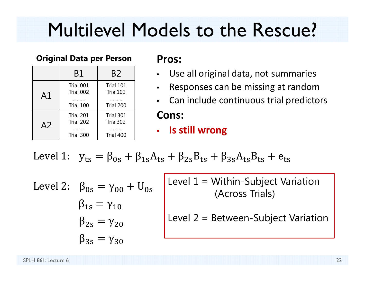# Multilevel Models to the Rescue?

#### **Original Data per Person Pros:**

|                | B1                     | B <sub>2</sub>         |
|----------------|------------------------|------------------------|
| A1             | Trial 001<br>Trial 002 | Trial 101<br>Trial102  |
|                | Trial 100<br>Trial 201 | Trial 200<br>Trial 301 |
| A <sub>2</sub> | Trial 202              | Trial302               |
|                | Trial 300              | Trial 400              |

- •Use all original data, not summaries
- •Responses can be missing at random
- •Can include continuous trial predictors

#### **Cons:**

• **Is still wrong**

Level 1: 
$$
y_{ts} = \beta_{0s} + \beta_{1s}A_{ts} + \beta_{2s}B_{ts} + \beta_{3s}A_{ts}B_{ts} + e_{ts}
$$

Level 2:  $\,\,\beta_{0{\rm s}}=\gamma_{00}+{\rm U}_{0{\rm s}}$  $\beta_{1s} = \gamma_{10}$  $\beta_{2{\scriptscriptstyle S}}=\gamma_{20}$  $\beta_{3s}=\gamma_{30}$ 

Level  $1 =$  Within-Subject Variation (Across Trials)

Level 
$$
2 =
$$
 Between-Subject Variation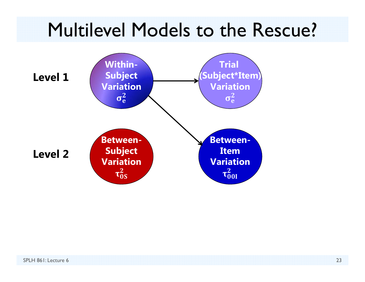### Multilevel Models to the Rescue?

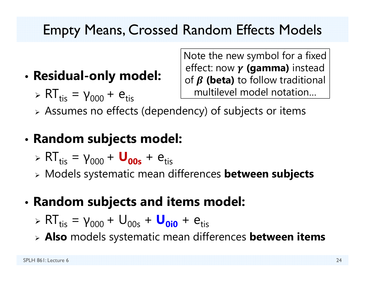#### Empty Means, Crossed Random Effects Models

#### •**Residual-only model:**

 $\triangleright$  RT<sub>tis</sub> = γ<sub>000</sub> +  $e$ <sub>tis</sub>

Note the new symbol for a fixed effect: now ࢽ**) gamma)** instead of  $\boldsymbol{\beta}$  (beta) to follow traditional multilevel model notation…

 $\triangleright$  Assumes no effects (dependency) of subjects or items

#### •**Random subjects model:**

- $\triangleright$  RT<sub>tis</sub> =  $\gamma_{000}$  +  $\bf{U_{00s}}$  +  $\bf{e}_{tis}$
- Models systematic mean differences **between subjects**
- • **Random subjects and items model:** 
	- $\triangleright$  RT<sub>tis</sub> = γ<sub>000</sub> + U<sub>00s</sub> + U<sub>0i0</sub> + e<sub>tis</sub>
	- **Also** models systematic mean differences **between items**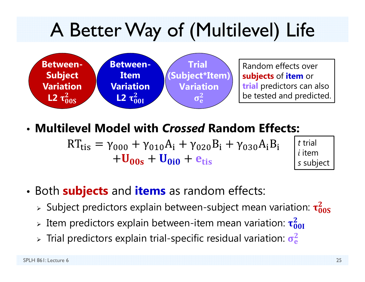# A Better Way of (Multilevel) Life



Random effects over **subjects** of **item** or **trial** predictors can also be tested and predicted.

#### • **Multilevel Model with** *Crossed* **Random Effects:**

୲୧ୱ ଵ ୧ ଶ ୧ ଷ ୧ ୧  $\log \tau$   $\upsilon_{0i0}$   $\tau$   $\upsilon_{tis}$ 



- • Both **subjects** and **items** as random effects:
	- $\triangleright$  Subject predictors explain between-subject mean variation:  $\tau^2_{00\mathrm{S}}$  $\bf{2}$
	- $\triangleright$  Item predictors explain between-item mean variation:  $\tau_{00I}^2$  $\bf{z}$
	- $>$  Trial predictors explain trial-specific residual variation:  $\sigma_{\rm e}^2$  $\mathbf 2$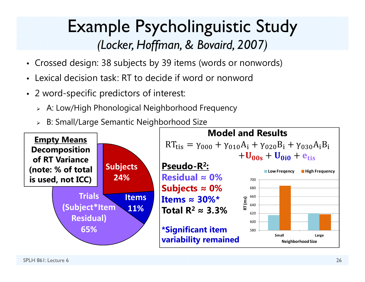#### Example Psycholinguistic Stud y *(Locker, Hoffman, & Bovaird, 2007)*

- Crossed design: 38 subjects by 39 items (words or nonwords)
- Lexical decision task: RT to decide if word or nonword
- 2 word-specific predictors of interest:
	- A: Low/High Phonological Neighborhood Frequency
	- B: Small/Large Semantic Neighborhood Size

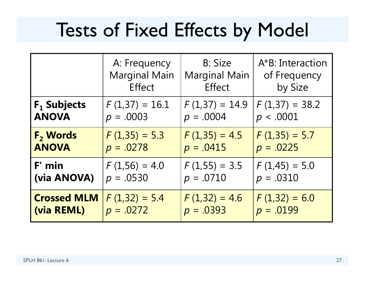# Tests of Fixed Effects by Model

|                            | A: Frequency         | <b>B: Size</b>       | A*B: Interaction |
|----------------------------|----------------------|----------------------|------------------|
|                            | <b>Marginal Main</b> | <b>Marginal Main</b> | of Frequency     |
|                            | <b>Effect</b>        | <b>Effect</b>        | by Size          |
| $F_1$ Subjects             | $F(1,37) = 16.1$     | $F(1,37) = 14.9$     | $F(1,37) = 38.2$ |
| <b>ANOVA</b>               | $p = .0003$          | $p = .0004$          | p < .0001        |
| <b>F<sub>2</sub> Words</b> | $F(1,35) = 5.3$      | $F(1,35) = 4.5$      | $F(1,35) = 5.7$  |
| <b>ANOVA</b>               | $p = .0278$          | $p = .0415$          | $p = .0225$      |
| $F'$ min                   | $F(1,56) = 4.0$      | $F(1,55) = 3.5$      | $F(1,45) = 5.0$  |
| (via ANOVA)                | $p = .0530$          | $p = .0710$          | $p = .0310$      |
| <b>Crossed MLM</b>         | $F(1,32) = 5.4$      | $F(1,32) = 4.6$      | $F(1,32) = 6.0$  |
| (via REML)                 | $p = .0272$          | $p = .0393$          | $p = .0199$      |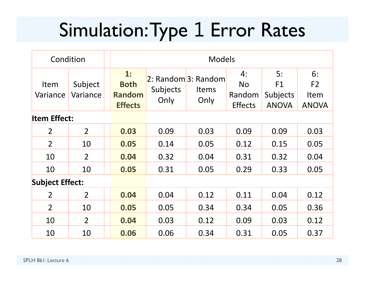# Simulation: Type 1 Error Rates

| Condition              |                     |  | <b>Models</b>                                 |                  |                                             |                                             |                                      |                                              |  |  |
|------------------------|---------------------|--|-----------------------------------------------|------------------|---------------------------------------------|---------------------------------------------|--------------------------------------|----------------------------------------------|--|--|
| Item<br>Variance       | Subject<br>Variance |  | 1:<br><b>Both</b><br>Random<br><b>Effects</b> | Subjects<br>Only | 2: Random 3: Random<br><b>Items</b><br>Only | 4:<br><b>No</b><br>Random<br><b>Effects</b> | 5:<br>F1<br>Subjects<br><b>ANOVA</b> | 6:<br>F <sub>2</sub><br>Item<br><b>ANOVA</b> |  |  |
| <b>Item Effect:</b>    |                     |  |                                               |                  |                                             |                                             |                                      |                                              |  |  |
| $\overline{2}$         | $\overline{2}$      |  | 0.03                                          | 0.09             | 0.03                                        | 0.09                                        | 0.09                                 | 0.03                                         |  |  |
| $\overline{2}$         | 10                  |  | 0.05                                          | 0.14             | 0.05                                        | 0.12                                        | 0.15                                 | 0.05                                         |  |  |
| 10                     | $\overline{2}$      |  | 0.04                                          | 0.32             | 0.04                                        | 0.31                                        | 0.32                                 | 0.04                                         |  |  |
| 10                     | 10                  |  | 0.05                                          | 0.31             | 0.05                                        | 0.29                                        | 0.33                                 | 0.05                                         |  |  |
| <b>Subject Effect:</b> |                     |  |                                               |                  |                                             |                                             |                                      |                                              |  |  |
| $\overline{2}$         | $\overline{2}$      |  | 0.04                                          | 0.04             | 0.12                                        | 0.11                                        | 0.04                                 | 0.12                                         |  |  |
| $\overline{2}$         | 10                  |  | 0.05                                          | 0.05             | 0.34                                        | 0.34                                        | 0.05                                 | 0.36                                         |  |  |
| 10                     | $\overline{2}$      |  | 0.04                                          | 0.03             | 0.12                                        | 0.09                                        | 0.03                                 | 0.12                                         |  |  |
| 10                     | 10                  |  | 0.06                                          | 0.06             | 0.34                                        | 0.31                                        | 0.05                                 | 0.37                                         |  |  |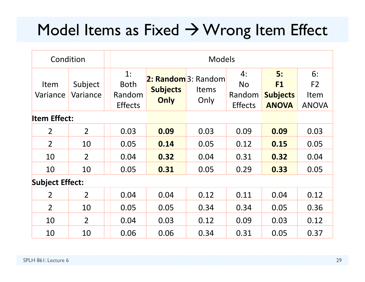#### Model Items as Fixed  $\rightarrow$  Wrong Item Effect

| Condition              |                     |                                        | <b>Models</b>           |                                      |                                             |                                             |                                  |  |  |  |
|------------------------|---------------------|----------------------------------------|-------------------------|--------------------------------------|---------------------------------------------|---------------------------------------------|----------------------------------|--|--|--|
| Item<br>Variance       | Subject<br>Variance | 1:<br>Both<br>Random<br><b>Effects</b> | <b>Subjects</b><br>Only | 2: Random 3: Random<br>Items<br>Only | 4:<br><b>No</b><br>Random<br><b>Effects</b> | 5:<br>F1<br><b>Subjects</b><br><b>ANOVA</b> | 6:<br>F2<br>Item<br><b>ANOVA</b> |  |  |  |
| <b>Item Effect:</b>    |                     |                                        |                         |                                      |                                             |                                             |                                  |  |  |  |
| $\overline{2}$         | $\overline{2}$      | 0.03                                   | 0.09                    | 0.03                                 | 0.09                                        | 0.09                                        | 0.03                             |  |  |  |
| $\overline{2}$         | 10                  | 0.05                                   | 0.14                    | 0.05                                 | 0.12                                        | 0.15                                        | 0.05                             |  |  |  |
| 10                     | $\overline{2}$      | 0.04                                   | 0.32                    | 0.04                                 | 0.31                                        | 0.32                                        | 0.04                             |  |  |  |
| 10                     | 10                  | 0.05                                   | 0.31                    | 0.05                                 | 0.29                                        | 0.33                                        | 0.05                             |  |  |  |
| <b>Subject Effect:</b> |                     |                                        |                         |                                      |                                             |                                             |                                  |  |  |  |
| $\overline{2}$         | $\overline{2}$      | 0.04                                   | 0.04                    | 0.12                                 | 0.11                                        | 0.04                                        | 0.12                             |  |  |  |
| $\overline{2}$         | 10                  | 0.05                                   | 0.05                    | 0.34                                 | 0.34                                        | 0.05                                        | 0.36                             |  |  |  |
| 10                     | $\overline{2}$      | 0.04                                   | 0.03                    | 0.12                                 | 0.09                                        | 0.03                                        | 0.12                             |  |  |  |
| 10                     | 10                  | 0.06                                   | 0.06                    | 0.34                                 | 0.31                                        | 0.05                                        | 0.37                             |  |  |  |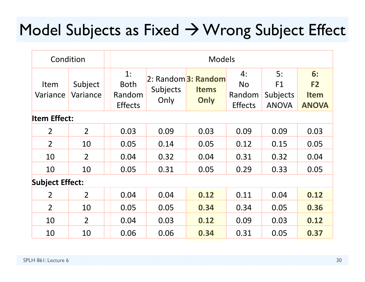#### Model Subjects as Fixed  $\rightarrow$  Wrong Subject Effect

| Condition              |                     |                                               | <b>Models</b>    |                                      |                                             |                                      |                                         |  |  |
|------------------------|---------------------|-----------------------------------------------|------------------|--------------------------------------|---------------------------------------------|--------------------------------------|-----------------------------------------|--|--|
| Item<br>Variance       | Subject<br>Variance | 1:<br><b>Both</b><br>Random<br><b>Effects</b> | Subjects<br>Only | 2: Random 3: Random<br>Items<br>Only | 4:<br><b>No</b><br>Random<br><b>Effects</b> | 5:<br>F1<br>Subjects<br><b>ANOVA</b> | 6:<br>F2<br><b>Item</b><br><b>ANOVA</b> |  |  |
|                        | <b>Item Effect:</b> |                                               |                  |                                      |                                             |                                      |                                         |  |  |
| $\overline{2}$         | $\overline{2}$      | 0.03                                          | 0.09             | 0.03                                 | 0.09                                        | 0.09                                 | 0.03                                    |  |  |
| $\overline{2}$         | 10                  | 0.05                                          | 0.14             | 0.05                                 | 0.12                                        | 0.15                                 | 0.05                                    |  |  |
| 10                     | $\overline{2}$      | 0.04                                          | 0.32             | 0.04                                 | 0.31                                        | 0.32                                 | 0.04                                    |  |  |
| 10                     | 10                  | 0.05                                          | 0.31             | 0.05                                 | 0.29                                        | 0.33                                 | 0.05                                    |  |  |
| <b>Subject Effect:</b> |                     |                                               |                  |                                      |                                             |                                      |                                         |  |  |
| $\overline{2}$         | $\overline{2}$      | 0.04                                          | 0.04             | 0.12                                 | 0.11                                        | 0.04                                 | 0.12                                    |  |  |
| $\overline{2}$         | 10                  | 0.05                                          | 0.05             | 0.34                                 | 0.34                                        | 0.05                                 | 0.36                                    |  |  |
| 10                     | $\overline{2}$      | 0.04                                          | 0.03             | 0.12                                 | 0.09                                        | 0.03                                 | 0.12                                    |  |  |
| 10                     | 10                  | 0.06                                          | 0.06             | 0.34                                 | 0.31                                        | 0.05                                 | 0.37                                    |  |  |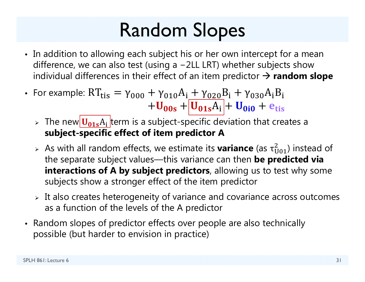# Random Slopes

- In addition to allowing each subject his or her own intercept for a mean difference, we can also test (using a −2LL LRT) whether subjects show individual differences in their effect of an item predictor  $\rightarrow$  random slope
- For example:  $\mathrm{RT}_{\mathrm{tis}} = \gamma_{000} + \gamma_{010} \mathrm{A_i} + \gamma_{020} \mathrm{B_i} + \gamma_{030} \mathrm{A_i} \mathrm{B_i}$  $+U_{00s}$   $+|U_{01s}A_i|$  +  $U_{0i0}$  +  $e_{tis}$ 
	- $\triangleright$  The new $|{\bf U_{01s}}{\rm A_i}|$ term is a subject-specific deviation that creates a **subject-specific effect of item predictor A**
	- $\triangleright$  As with all random effects, we estimate its **variance** (as  $\tau_{U01}^2$ ) instead of the separate subject values—this variance can then **be predicted via interactions of A by subject predictors**, allowing us to test why some subjects show a stronger effect of the item predictor
	- $\triangleright$  It also creates heterogeneity of variance and covariance across outcomes as a function of the levels of the A predictor
- Random slopes of predictor effects over people are also technically possible (but harder to envision in practice)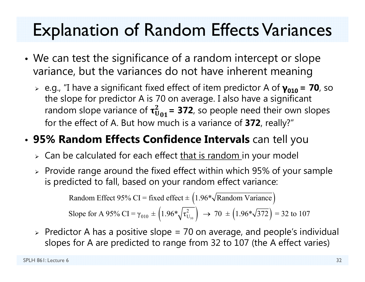#### Explanation of Random Effects Variances

- • We can test the significance of a random intercept or slope variance, but the variances do not have inherent meaning
	- e.g., "I have a significant fixed effect of item predictor A of **γ010 = 70**, so the slope for predictor A is 70 on average. I also have a significant random slope variance of  $\boldsymbol{\tau_U^2}$  $\frac{2}{1001}$  = **372**, so people need their own slopes for the effect of A. But how much is a variance of **372**, really?"

#### •**95% Random Effects Confidence Intervals** can tell you

- $\triangleright\;$  Can be calculated for each effect <u>that is random i</u>n your model
- $\triangleright$  Provide range around the fixed effect within which 95% of your sample is predicted to fall, based on your random effect variance:

Random Effect 95% CI = fixed effect  $\pm (1.96*\sqrt{\text{Random Variance}})$ 

Slope for A 95% CI =  $\gamma_{010} \pm \left(1.96*\sqrt{\tau_{U_{10}}^2}\right) \rightarrow 70 \pm \left(1.96*\sqrt{372}\right)$  = 32 to 107

 $\triangleright$  Predictor A has a positive slope = 70 on average, and people's individual slopes for A are predicted to range from 32 to 107 (the A effect varies)